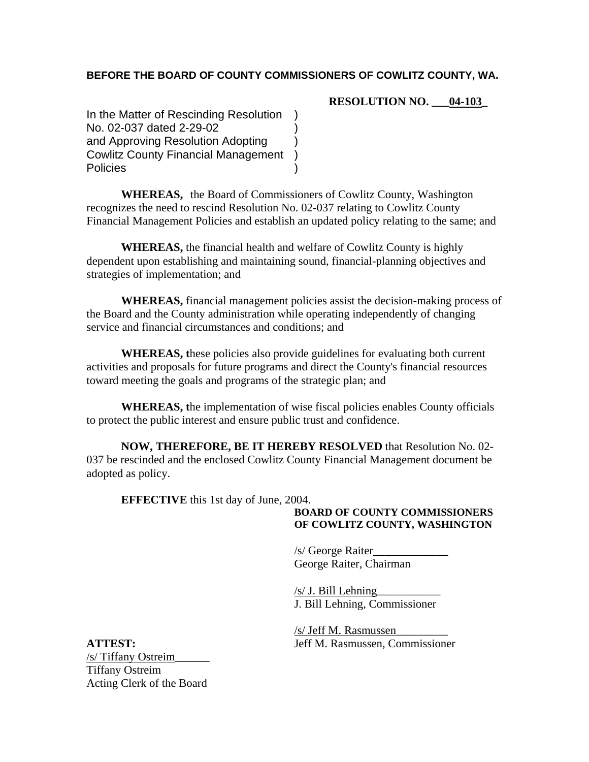### **BEFORE THE BOARD OF COUNTY COMMISSIONERS OF COWLITZ COUNTY, WA.**

**RESOLUTION NO. \_\_\_04-103\_** 

In the Matter of Rescinding Resolution No. 02-037 dated 2-29-02 ) and Approving Resolution Adopting ) Cowlitz County Financial Management ) **Policies** 

**WHEREAS,** the Board of Commissioners of Cowlitz County, Washington recognizes the need to rescind Resolution No. 02-037 relating to Cowlitz County Financial Management Policies and establish an updated policy relating to the same; and

**WHEREAS,** the financial health and welfare of Cowlitz County is highly dependent upon establishing and maintaining sound, financial-planning objectives and strategies of implementation; and

**WHEREAS,** financial management policies assist the decision-making process of the Board and the County administration while operating independently of changing service and financial circumstances and conditions; and

**WHEREAS, t**hese policies also provide guidelines for evaluating both current activities and proposals for future programs and direct the County's financial resources toward meeting the goals and programs of the strategic plan; and

**WHEREAS, t**he implementation of wise fiscal policies enables County officials to protect the public interest and ensure public trust and confidence.

**NOW, THEREFORE, BE IT HEREBY RESOLVED** that Resolution No. 02- 037 be rescinded and the enclosed Cowlitz County Financial Management document be adopted as policy.

**EFFECTIVE** this 1st day of June, 2004.

### **BOARD OF COUNTY COMMISSIONERS OF COWLITZ COUNTY, WASHINGTON**

/s/ George Raiter**\_\_\_\_\_\_\_\_\_\_\_\_\_**  George Raiter, Chairman

 $/s/J$ . Bill Lehning J. Bill Lehning, Commissioner

/s/ Jeff M. Rasmussen\_\_\_\_\_\_\_\_\_ **ATTEST:** Jeff M. Rasmussen, Commissioner

/s/ Tiffany Ostreim\_\_\_\_\_\_ Tiffany Ostreim Acting Clerk of the Board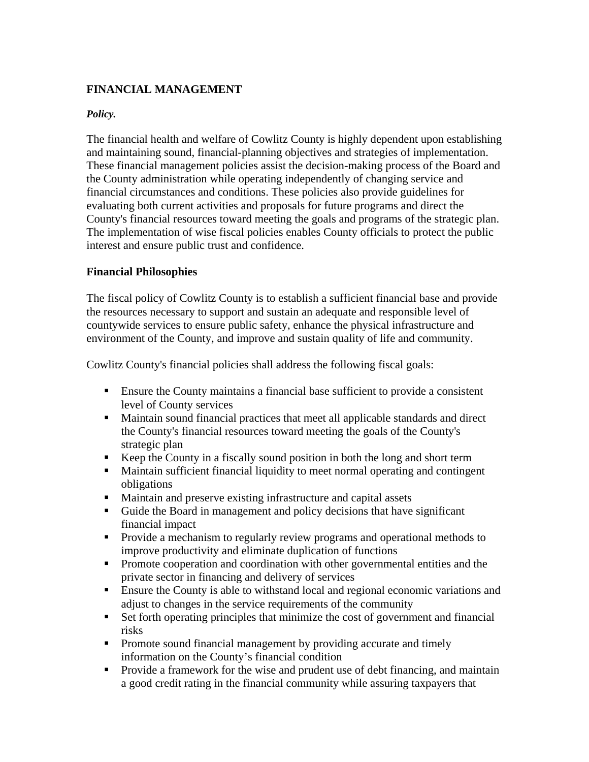# **FINANCIAL MANAGEMENT**

### *Policy.*

The financial health and welfare of Cowlitz County is highly dependent upon establishing and maintaining sound, financial-planning objectives and strategies of implementation. These financial management policies assist the decision-making process of the Board and the County administration while operating independently of changing service and financial circumstances and conditions. These policies also provide guidelines for evaluating both current activities and proposals for future programs and direct the County's financial resources toward meeting the goals and programs of the strategic plan. The implementation of wise fiscal policies enables County officials to protect the public interest and ensure public trust and confidence.

### **Financial Philosophies**

The fiscal policy of Cowlitz County is to establish a sufficient financial base and provide the resources necessary to support and sustain an adequate and responsible level of countywide services to ensure public safety, enhance the physical infrastructure and environment of the County, and improve and sustain quality of life and community.

Cowlitz County's financial policies shall address the following fiscal goals:

- Ensure the County maintains a financial base sufficient to provide a consistent level of County services
- Maintain sound financial practices that meet all applicable standards and direct the County's financial resources toward meeting the goals of the County's strategic plan
- Keep the County in a fiscally sound position in both the long and short term
- Maintain sufficient financial liquidity to meet normal operating and contingent obligations
- Maintain and preserve existing infrastructure and capital assets
- Guide the Board in management and policy decisions that have significant financial impact
- Provide a mechanism to regularly review programs and operational methods to improve productivity and eliminate duplication of functions
- **Promote cooperation and coordination with other governmental entities and the** private sector in financing and delivery of services
- Ensure the County is able to withstand local and regional economic variations and adjust to changes in the service requirements of the community
- Set forth operating principles that minimize the cost of government and financial risks
- Promote sound financial management by providing accurate and timely information on the County's financial condition
- **Provide a framework for the wise and prudent use of debt financing, and maintain** a good credit rating in the financial community while assuring taxpayers that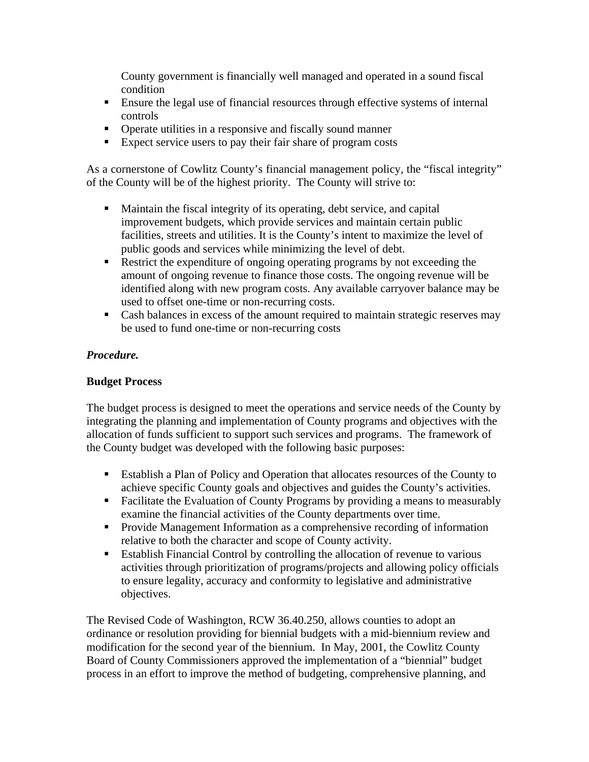County government is financially well managed and operated in a sound fiscal condition

- Ensure the legal use of financial resources through effective systems of internal controls
- Operate utilities in a responsive and fiscally sound manner
- Expect service users to pay their fair share of program costs

As a cornerstone of Cowlitz County's financial management policy, the "fiscal integrity" of the County will be of the highest priority. The County will strive to:

- Maintain the fiscal integrity of its operating, debt service, and capital improvement budgets, which provide services and maintain certain public facilities, streets and utilities. It is the County's intent to maximize the level of public goods and services while minimizing the level of debt.
- Restrict the expenditure of ongoing operating programs by not exceeding the amount of ongoing revenue to finance those costs. The ongoing revenue will be identified along with new program costs. Any available carryover balance may be used to offset one-time or non-recurring costs.
- Cash balances in excess of the amount required to maintain strategic reserves may be used to fund one-time or non-recurring costs

### *Procedure.*

#### **Budget Process**

The budget process is designed to meet the operations and service needs of the County by integrating the planning and implementation of County programs and objectives with the allocation of funds sufficient to support such services and programs. The framework of the County budget was developed with the following basic purposes:

- Establish a Plan of Policy and Operation that allocates resources of the County to achieve specific County goals and objectives and guides the County's activities.
- Facilitate the Evaluation of County Programs by providing a means to measurably examine the financial activities of the County departments over time.
- **Provide Management Information as a comprehensive recording of information** relative to both the character and scope of County activity.
- Establish Financial Control by controlling the allocation of revenue to various activities through prioritization of programs/projects and allowing policy officials to ensure legality, accuracy and conformity to legislative and administrative objectives.

The Revised Code of Washington, RCW 36.40.250, allows counties to adopt an ordinance or resolution providing for biennial budgets with a mid-biennium review and modification for the second year of the biennium. In May, 2001, the Cowlitz County Board of County Commissioners approved the implementation of a "biennial" budget process in an effort to improve the method of budgeting, comprehensive planning, and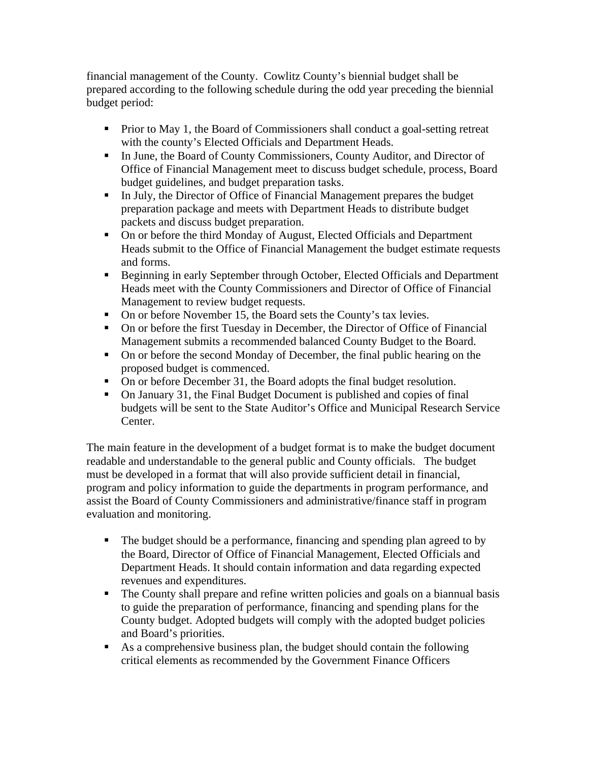financial management of the County. Cowlitz County's biennial budget shall be prepared according to the following schedule during the odd year preceding the biennial budget period:

- Prior to May 1, the Board of Commissioners shall conduct a goal-setting retreat with the county's Elected Officials and Department Heads.
- In June, the Board of County Commissioners, County Auditor, and Director of Office of Financial Management meet to discuss budget schedule, process, Board budget guidelines, and budget preparation tasks.
- In July, the Director of Office of Financial Management prepares the budget preparation package and meets with Department Heads to distribute budget packets and discuss budget preparation.
- On or before the third Monday of August, Elected Officials and Department Heads submit to the Office of Financial Management the budget estimate requests and forms.
- Beginning in early September through October, Elected Officials and Department Heads meet with the County Commissioners and Director of Office of Financial Management to review budget requests.
- On or before November 15, the Board sets the County's tax levies.
- On or before the first Tuesday in December, the Director of Office of Financial Management submits a recommended balanced County Budget to the Board.
- On or before the second Monday of December, the final public hearing on the proposed budget is commenced.
- On or before December 31, the Board adopts the final budget resolution.
- On January 31, the Final Budget Document is published and copies of final budgets will be sent to the State Auditor's Office and Municipal Research Service Center.

The main feature in the development of a budget format is to make the budget document readable and understandable to the general public and County officials. The budget must be developed in a format that will also provide sufficient detail in financial, program and policy information to guide the departments in program performance, and assist the Board of County Commissioners and administrative/finance staff in program evaluation and monitoring.

- The budget should be a performance, financing and spending plan agreed to by the Board, Director of Office of Financial Management, Elected Officials and Department Heads. It should contain information and data regarding expected revenues and expenditures.
- The County shall prepare and refine written policies and goals on a biannual basis to guide the preparation of performance, financing and spending plans for the County budget. Adopted budgets will comply with the adopted budget policies and Board's priorities.
- As a comprehensive business plan, the budget should contain the following critical elements as recommended by the Government Finance Officers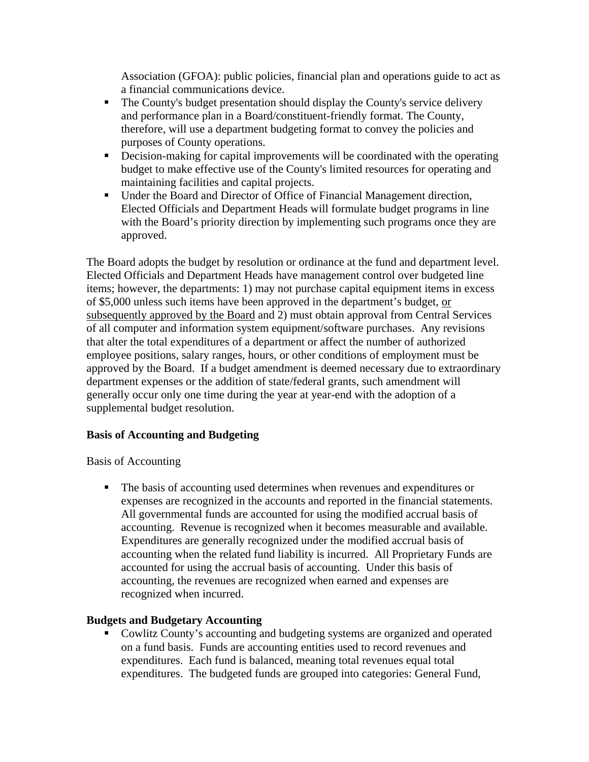Association (GFOA): public policies, financial plan and operations guide to act as a financial communications device.

- The County's budget presentation should display the County's service delivery and performance plan in a Board/constituent-friendly format. The County, therefore, will use a department budgeting format to convey the policies and purposes of County operations.
- Decision-making for capital improvements will be coordinated with the operating budget to make effective use of the County's limited resources for operating and maintaining facilities and capital projects.
- Under the Board and Director of Office of Financial Management direction, Elected Officials and Department Heads will formulate budget programs in line with the Board's priority direction by implementing such programs once they are approved.

The Board adopts the budget by resolution or ordinance at the fund and department level. Elected Officials and Department Heads have management control over budgeted line items; however, the departments: 1) may not purchase capital equipment items in excess of \$5,000 unless such items have been approved in the department's budget, or subsequently approved by the Board and 2) must obtain approval from Central Services of all computer and information system equipment/software purchases. Any revisions that alter the total expenditures of a department or affect the number of authorized employee positions, salary ranges, hours, or other conditions of employment must be approved by the Board. If a budget amendment is deemed necessary due to extraordinary department expenses or the addition of state/federal grants, such amendment will generally occur only one time during the year at year-end with the adoption of a supplemental budget resolution.

#### **Basis of Accounting and Budgeting**

Basis of Accounting

 The basis of accounting used determines when revenues and expenditures or expenses are recognized in the accounts and reported in the financial statements. All governmental funds are accounted for using the modified accrual basis of accounting. Revenue is recognized when it becomes measurable and available. Expenditures are generally recognized under the modified accrual basis of accounting when the related fund liability is incurred. All Proprietary Funds are accounted for using the accrual basis of accounting. Under this basis of accounting, the revenues are recognized when earned and expenses are recognized when incurred.

## **Budgets and Budgetary Accounting**

• Cowlitz County's accounting and budgeting systems are organized and operated on a fund basis. Funds are accounting entities used to record revenues and expenditures. Each fund is balanced, meaning total revenues equal total expenditures. The budgeted funds are grouped into categories: General Fund,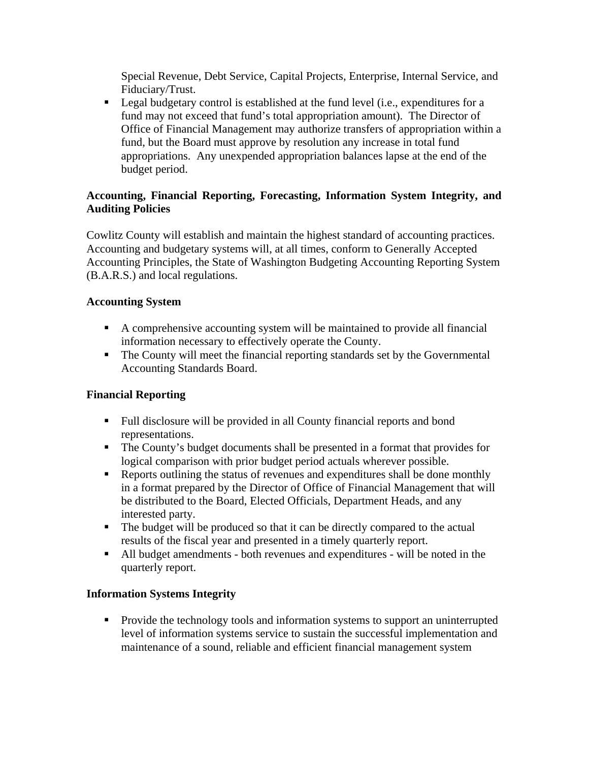Special Revenue, Debt Service, Capital Projects, Enterprise, Internal Service, and Fiduciary/Trust.

**Legal budgetary control is established at the fund level (i.e., expenditures for a** fund may not exceed that fund's total appropriation amount). The Director of Office of Financial Management may authorize transfers of appropriation within a fund, but the Board must approve by resolution any increase in total fund appropriations. Any unexpended appropriation balances lapse at the end of the budget period.

## **Accounting, Financial Reporting, Forecasting, Information System Integrity, and Auditing Policies**

Cowlitz County will establish and maintain the highest standard of accounting practices. Accounting and budgetary systems will, at all times, conform to Generally Accepted Accounting Principles, the State of Washington Budgeting Accounting Reporting System (B.A.R.S.) and local regulations.

## **Accounting System**

- A comprehensive accounting system will be maintained to provide all financial information necessary to effectively operate the County.
- The County will meet the financial reporting standards set by the Governmental Accounting Standards Board.

# **Financial Reporting**

- Full disclosure will be provided in all County financial reports and bond representations.
- The County's budget documents shall be presented in a format that provides for logical comparison with prior budget period actuals wherever possible.
- Reports outlining the status of revenues and expenditures shall be done monthly in a format prepared by the Director of Office of Financial Management that will be distributed to the Board, Elected Officials, Department Heads, and any interested party.
- The budget will be produced so that it can be directly compared to the actual results of the fiscal year and presented in a timely quarterly report.
- All budget amendments both revenues and expenditures will be noted in the quarterly report.

## **Information Systems Integrity**

• Provide the technology tools and information systems to support an uninterrupted level of information systems service to sustain the successful implementation and maintenance of a sound, reliable and efficient financial management system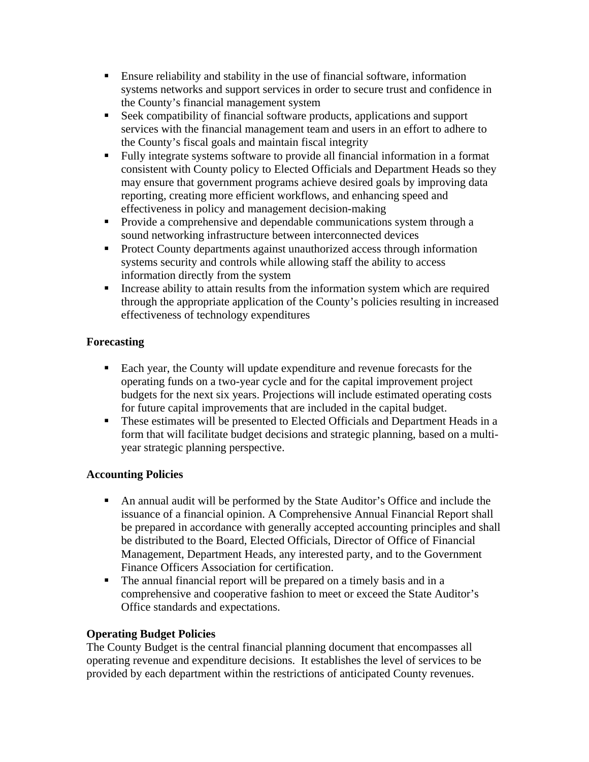- Ensure reliability and stability in the use of financial software, information systems networks and support services in order to secure trust and confidence in the County's financial management system
- Seek compatibility of financial software products, applications and support services with the financial management team and users in an effort to adhere to the County's fiscal goals and maintain fiscal integrity
- Fully integrate systems software to provide all financial information in a format consistent with County policy to Elected Officials and Department Heads so they may ensure that government programs achieve desired goals by improving data reporting, creating more efficient workflows, and enhancing speed and effectiveness in policy and management decision-making
- **Provide a comprehensive and dependable communications system through a** sound networking infrastructure between interconnected devices
- **Protect County departments against unauthorized access through information** systems security and controls while allowing staff the ability to access information directly from the system
- Increase ability to attain results from the information system which are required through the appropriate application of the County's policies resulting in increased effectiveness of technology expenditures

# **Forecasting**

- Each year, the County will update expenditure and revenue forecasts for the operating funds on a two-year cycle and for the capital improvement project budgets for the next six years. Projections will include estimated operating costs for future capital improvements that are included in the capital budget.
- These estimates will be presented to Elected Officials and Department Heads in a form that will facilitate budget decisions and strategic planning, based on a multiyear strategic planning perspective.

# **Accounting Policies**

- An annual audit will be performed by the State Auditor's Office and include the issuance of a financial opinion. A Comprehensive Annual Financial Report shall be prepared in accordance with generally accepted accounting principles and shall be distributed to the Board, Elected Officials, Director of Office of Financial Management, Department Heads, any interested party, and to the Government Finance Officers Association for certification.
- The annual financial report will be prepared on a timely basis and in a comprehensive and cooperative fashion to meet or exceed the State Auditor's Office standards and expectations.

# **Operating Budget Policies**

The County Budget is the central financial planning document that encompasses all operating revenue and expenditure decisions. It establishes the level of services to be provided by each department within the restrictions of anticipated County revenues.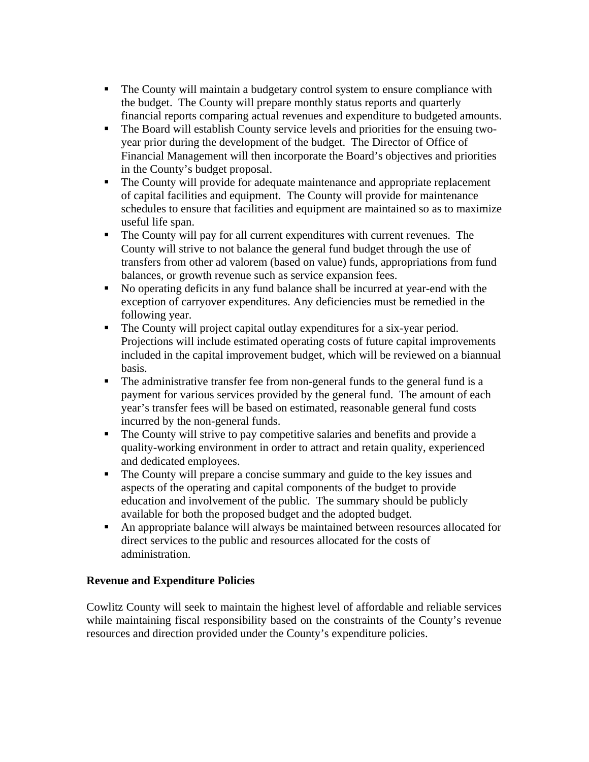- The County will maintain a budgetary control system to ensure compliance with the budget. The County will prepare monthly status reports and quarterly financial reports comparing actual revenues and expenditure to budgeted amounts.
- The Board will establish County service levels and priorities for the ensuing twoyear prior during the development of the budget. The Director of Office of Financial Management will then incorporate the Board's objectives and priorities in the County's budget proposal.
- The County will provide for adequate maintenance and appropriate replacement of capital facilities and equipment. The County will provide for maintenance schedules to ensure that facilities and equipment are maintained so as to maximize useful life span.
- The County will pay for all current expenditures with current revenues. The County will strive to not balance the general fund budget through the use of transfers from other ad valorem (based on value) funds, appropriations from fund balances, or growth revenue such as service expansion fees.
- No operating deficits in any fund balance shall be incurred at year-end with the exception of carryover expenditures. Any deficiencies must be remedied in the following year.
- The County will project capital outlay expenditures for a six-year period. Projections will include estimated operating costs of future capital improvements included in the capital improvement budget, which will be reviewed on a biannual basis.
- The administrative transfer fee from non-general funds to the general fund is a payment for various services provided by the general fund. The amount of each year's transfer fees will be based on estimated, reasonable general fund costs incurred by the non-general funds.
- The County will strive to pay competitive salaries and benefits and provide a quality-working environment in order to attract and retain quality, experienced and dedicated employees.
- The County will prepare a concise summary and guide to the key issues and aspects of the operating and capital components of the budget to provide education and involvement of the public. The summary should be publicly available for both the proposed budget and the adopted budget.
- An appropriate balance will always be maintained between resources allocated for direct services to the public and resources allocated for the costs of administration.

## **Revenue and Expenditure Policies**

Cowlitz County will seek to maintain the highest level of affordable and reliable services while maintaining fiscal responsibility based on the constraints of the County's revenue resources and direction provided under the County's expenditure policies.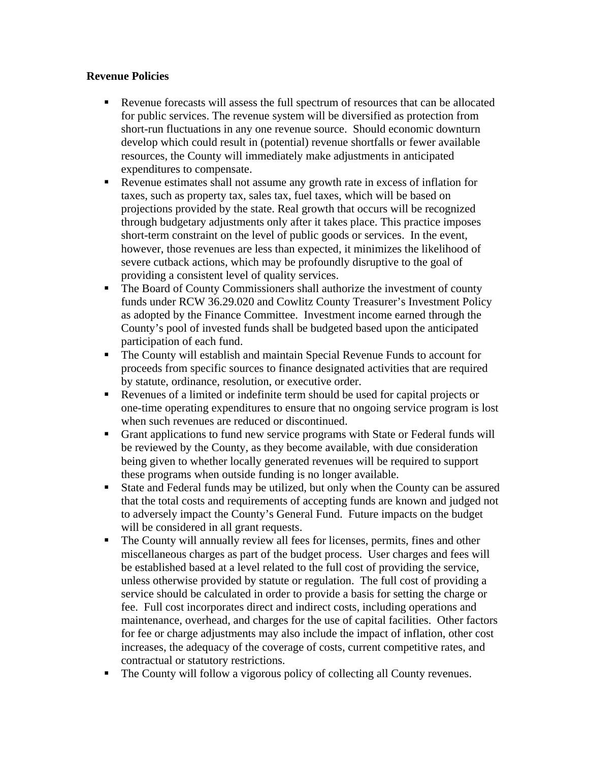### **Revenue Policies**

- Revenue forecasts will assess the full spectrum of resources that can be allocated for public services. The revenue system will be diversified as protection from short-run fluctuations in any one revenue source. Should economic downturn develop which could result in (potential) revenue shortfalls or fewer available resources, the County will immediately make adjustments in anticipated expenditures to compensate.
- Revenue estimates shall not assume any growth rate in excess of inflation for taxes, such as property tax, sales tax, fuel taxes, which will be based on projections provided by the state. Real growth that occurs will be recognized through budgetary adjustments only after it takes place. This practice imposes short-term constraint on the level of public goods or services. In the event, however, those revenues are less than expected, it minimizes the likelihood of severe cutback actions, which may be profoundly disruptive to the goal of providing a consistent level of quality services.
- The Board of County Commissioners shall authorize the investment of county funds under RCW 36.29.020 and Cowlitz County Treasurer's Investment Policy as adopted by the Finance Committee. Investment income earned through the County's pool of invested funds shall be budgeted based upon the anticipated participation of each fund.
- The County will establish and maintain Special Revenue Funds to account for proceeds from specific sources to finance designated activities that are required by statute, ordinance, resolution, or executive order.
- Revenues of a limited or indefinite term should be used for capital projects or one-time operating expenditures to ensure that no ongoing service program is lost when such revenues are reduced or discontinued.
- Grant applications to fund new service programs with State or Federal funds will be reviewed by the County, as they become available, with due consideration being given to whether locally generated revenues will be required to support these programs when outside funding is no longer available.
- State and Federal funds may be utilized, but only when the County can be assured that the total costs and requirements of accepting funds are known and judged not to adversely impact the County's General Fund. Future impacts on the budget will be considered in all grant requests.
- The County will annually review all fees for licenses, permits, fines and other miscellaneous charges as part of the budget process. User charges and fees will be established based at a level related to the full cost of providing the service, unless otherwise provided by statute or regulation. The full cost of providing a service should be calculated in order to provide a basis for setting the charge or fee. Full cost incorporates direct and indirect costs, including operations and maintenance, overhead, and charges for the use of capital facilities. Other factors for fee or charge adjustments may also include the impact of inflation, other cost increases, the adequacy of the coverage of costs, current competitive rates, and contractual or statutory restrictions.
- The County will follow a vigorous policy of collecting all County revenues.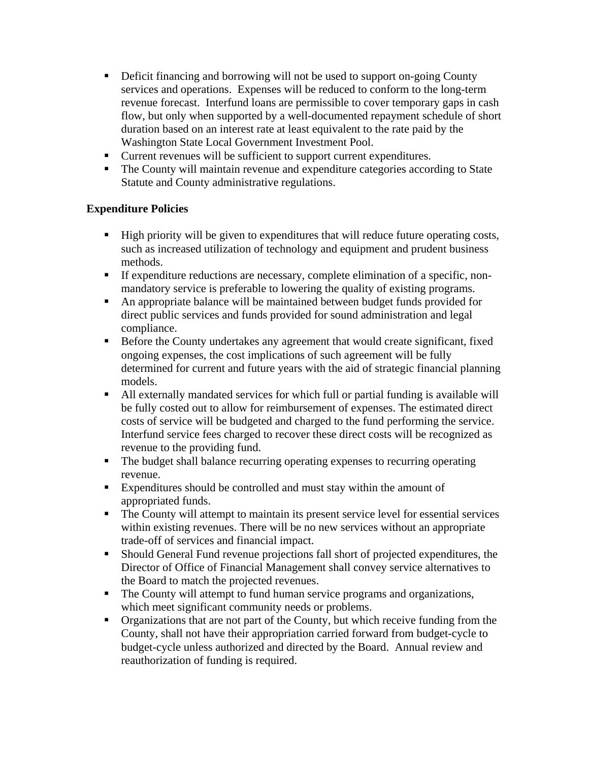- Deficit financing and borrowing will not be used to support on-going County services and operations. Expenses will be reduced to conform to the long-term revenue forecast. Interfund loans are permissible to cover temporary gaps in cash flow, but only when supported by a well-documented repayment schedule of short duration based on an interest rate at least equivalent to the rate paid by the Washington State Local Government Investment Pool.
- Current revenues will be sufficient to support current expenditures.
- The County will maintain revenue and expenditure categories according to State Statute and County administrative regulations.

# **Expenditure Policies**

- High priority will be given to expenditures that will reduce future operating costs, such as increased utilization of technology and equipment and prudent business methods.
- If expenditure reductions are necessary, complete elimination of a specific, nonmandatory service is preferable to lowering the quality of existing programs.
- An appropriate balance will be maintained between budget funds provided for direct public services and funds provided for sound administration and legal compliance.
- **Before the County undertakes any agreement that would create significant, fixed** ongoing expenses, the cost implications of such agreement will be fully determined for current and future years with the aid of strategic financial planning models.
- All externally mandated services for which full or partial funding is available will be fully costed out to allow for reimbursement of expenses. The estimated direct costs of service will be budgeted and charged to the fund performing the service. Interfund service fees charged to recover these direct costs will be recognized as revenue to the providing fund.
- The budget shall balance recurring operating expenses to recurring operating revenue.
- Expenditures should be controlled and must stay within the amount of appropriated funds.
- The County will attempt to maintain its present service level for essential services within existing revenues. There will be no new services without an appropriate trade-off of services and financial impact.
- Should General Fund revenue projections fall short of projected expenditures, the Director of Office of Financial Management shall convey service alternatives to the Board to match the projected revenues.
- The County will attempt to fund human service programs and organizations, which meet significant community needs or problems.
- Organizations that are not part of the County, but which receive funding from the County, shall not have their appropriation carried forward from budget-cycle to budget-cycle unless authorized and directed by the Board. Annual review and reauthorization of funding is required.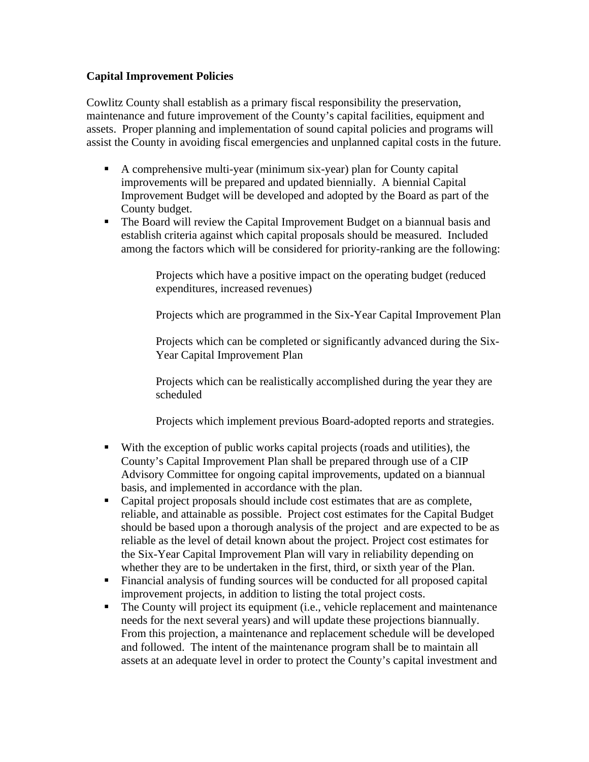### **Capital Improvement Policies**

Cowlitz County shall establish as a primary fiscal responsibility the preservation, maintenance and future improvement of the County's capital facilities, equipment and assets. Proper planning and implementation of sound capital policies and programs will assist the County in avoiding fiscal emergencies and unplanned capital costs in the future.

- A comprehensive multi-year (minimum six-year) plan for County capital improvements will be prepared and updated biennially. A biennial Capital Improvement Budget will be developed and adopted by the Board as part of the County budget.
- The Board will review the Capital Improvement Budget on a biannual basis and establish criteria against which capital proposals should be measured. Included among the factors which will be considered for priority-ranking are the following:

Projects which have a positive impact on the operating budget (reduced expenditures, increased revenues)

Projects which are programmed in the Six-Year Capital Improvement Plan

Projects which can be completed or significantly advanced during the Six-Year Capital Improvement Plan

Projects which can be realistically accomplished during the year they are scheduled

Projects which implement previous Board-adopted reports and strategies.

- With the exception of public works capital projects (roads and utilities), the County's Capital Improvement Plan shall be prepared through use of a CIP Advisory Committee for ongoing capital improvements, updated on a biannual basis, and implemented in accordance with the plan.
- Capital project proposals should include cost estimates that are as complete, reliable, and attainable as possible. Project cost estimates for the Capital Budget should be based upon a thorough analysis of the project and are expected to be as reliable as the level of detail known about the project. Project cost estimates for the Six-Year Capital Improvement Plan will vary in reliability depending on whether they are to be undertaken in the first, third, or sixth year of the Plan.
- Financial analysis of funding sources will be conducted for all proposed capital improvement projects, in addition to listing the total project costs.
- The County will project its equipment (i.e., vehicle replacement and maintenance needs for the next several years) and will update these projections biannually. From this projection, a maintenance and replacement schedule will be developed and followed. The intent of the maintenance program shall be to maintain all assets at an adequate level in order to protect the County's capital investment and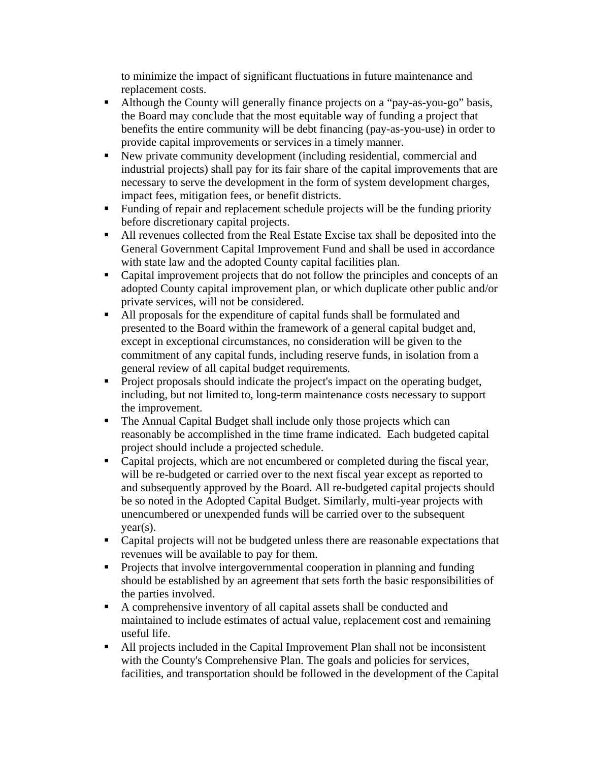to minimize the impact of significant fluctuations in future maintenance and replacement costs.

- Although the County will generally finance projects on a "pay-as-you-go" basis, the Board may conclude that the most equitable way of funding a project that benefits the entire community will be debt financing (pay-as-you-use) in order to provide capital improvements or services in a timely manner.
- New private community development (including residential, commercial and industrial projects) shall pay for its fair share of the capital improvements that are necessary to serve the development in the form of system development charges, impact fees, mitigation fees, or benefit districts.
- Funding of repair and replacement schedule projects will be the funding priority before discretionary capital projects.
- All revenues collected from the Real Estate Excise tax shall be deposited into the General Government Capital Improvement Fund and shall be used in accordance with state law and the adopted County capital facilities plan.
- Capital improvement projects that do not follow the principles and concepts of an adopted County capital improvement plan, or which duplicate other public and/or private services, will not be considered.
- All proposals for the expenditure of capital funds shall be formulated and presented to the Board within the framework of a general capital budget and, except in exceptional circumstances, no consideration will be given to the commitment of any capital funds, including reserve funds, in isolation from a general review of all capital budget requirements.
- Project proposals should indicate the project's impact on the operating budget, including, but not limited to, long-term maintenance costs necessary to support the improvement.
- The Annual Capital Budget shall include only those projects which can reasonably be accomplished in the time frame indicated. Each budgeted capital project should include a projected schedule.
- Capital projects, which are not encumbered or completed during the fiscal year, will be re-budgeted or carried over to the next fiscal year except as reported to and subsequently approved by the Board. All re-budgeted capital projects should be so noted in the Adopted Capital Budget. Similarly, multi-year projects with unencumbered or unexpended funds will be carried over to the subsequent  $year(s)$ .
- Capital projects will not be budgeted unless there are reasonable expectations that revenues will be available to pay for them.
- **Projects that involve intergovernmental cooperation in planning and funding** should be established by an agreement that sets forth the basic responsibilities of the parties involved.
- A comprehensive inventory of all capital assets shall be conducted and maintained to include estimates of actual value, replacement cost and remaining useful life.
- All projects included in the Capital Improvement Plan shall not be inconsistent with the County's Comprehensive Plan. The goals and policies for services, facilities, and transportation should be followed in the development of the Capital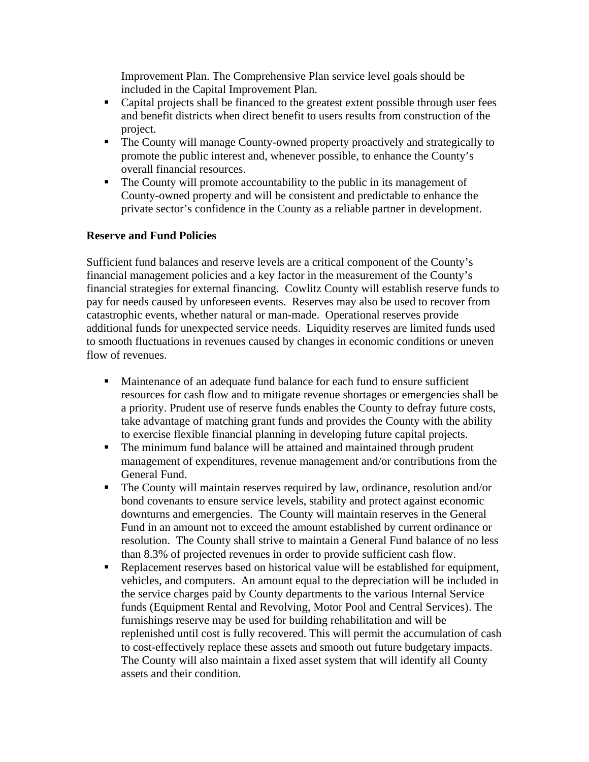Improvement Plan. The Comprehensive Plan service level goals should be included in the Capital Improvement Plan.

- Capital projects shall be financed to the greatest extent possible through user fees and benefit districts when direct benefit to users results from construction of the project.
- The County will manage County-owned property proactively and strategically to promote the public interest and, whenever possible, to enhance the County's overall financial resources.
- The County will promote accountability to the public in its management of County-owned property and will be consistent and predictable to enhance the private sector's confidence in the County as a reliable partner in development.

## **Reserve and Fund Policies**

Sufficient fund balances and reserve levels are a critical component of the County's financial management policies and a key factor in the measurement of the County's financial strategies for external financing. Cowlitz County will establish reserve funds to pay for needs caused by unforeseen events. Reserves may also be used to recover from catastrophic events, whether natural or man-made. Operational reserves provide additional funds for unexpected service needs. Liquidity reserves are limited funds used to smooth fluctuations in revenues caused by changes in economic conditions or uneven flow of revenues.

- Maintenance of an adequate fund balance for each fund to ensure sufficient resources for cash flow and to mitigate revenue shortages or emergencies shall be a priority. Prudent use of reserve funds enables the County to defray future costs, take advantage of matching grant funds and provides the County with the ability to exercise flexible financial planning in developing future capital projects.
- The minimum fund balance will be attained and maintained through prudent management of expenditures, revenue management and/or contributions from the General Fund.
- The County will maintain reserves required by law, ordinance, resolution and/or bond covenants to ensure service levels, stability and protect against economic downturns and emergencies. The County will maintain reserves in the General Fund in an amount not to exceed the amount established by current ordinance or resolution. The County shall strive to maintain a General Fund balance of no less than 8.3% of projected revenues in order to provide sufficient cash flow.
- Replacement reserves based on historical value will be established for equipment, vehicles, and computers. An amount equal to the depreciation will be included in the service charges paid by County departments to the various Internal Service funds (Equipment Rental and Revolving, Motor Pool and Central Services). The furnishings reserve may be used for building rehabilitation and will be replenished until cost is fully recovered. This will permit the accumulation of cash to cost-effectively replace these assets and smooth out future budgetary impacts. The County will also maintain a fixed asset system that will identify all County assets and their condition.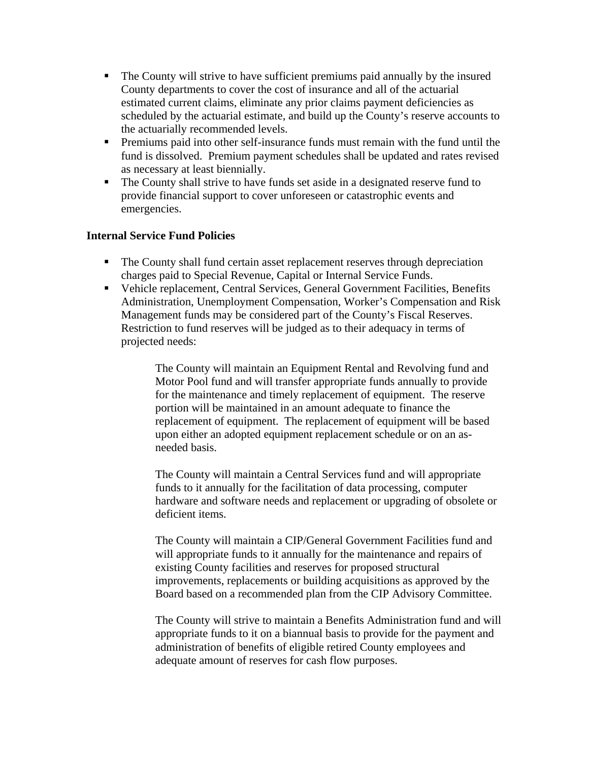- The County will strive to have sufficient premiums paid annually by the insured County departments to cover the cost of insurance and all of the actuarial estimated current claims, eliminate any prior claims payment deficiencies as scheduled by the actuarial estimate, and build up the County's reserve accounts to the actuarially recommended levels.
- **Premiums paid into other self-insurance funds must remain with the fund until the** fund is dissolved. Premium payment schedules shall be updated and rates revised as necessary at least biennially.
- The County shall strive to have funds set aside in a designated reserve fund to provide financial support to cover unforeseen or catastrophic events and emergencies.

### **Internal Service Fund Policies**

- The County shall fund certain asset replacement reserves through depreciation charges paid to Special Revenue, Capital or Internal Service Funds.
- Vehicle replacement, Central Services, General Government Facilities, Benefits Administration, Unemployment Compensation, Worker's Compensation and Risk Management funds may be considered part of the County's Fiscal Reserves. Restriction to fund reserves will be judged as to their adequacy in terms of projected needs:

The County will maintain an Equipment Rental and Revolving fund and Motor Pool fund and will transfer appropriate funds annually to provide for the maintenance and timely replacement of equipment. The reserve portion will be maintained in an amount adequate to finance the replacement of equipment. The replacement of equipment will be based upon either an adopted equipment replacement schedule or on an asneeded basis.

The County will maintain a Central Services fund and will appropriate funds to it annually for the facilitation of data processing, computer hardware and software needs and replacement or upgrading of obsolete or deficient items.

The County will maintain a CIP/General Government Facilities fund and will appropriate funds to it annually for the maintenance and repairs of existing County facilities and reserves for proposed structural improvements, replacements or building acquisitions as approved by the Board based on a recommended plan from the CIP Advisory Committee.

The County will strive to maintain a Benefits Administration fund and will appropriate funds to it on a biannual basis to provide for the payment and administration of benefits of eligible retired County employees and adequate amount of reserves for cash flow purposes.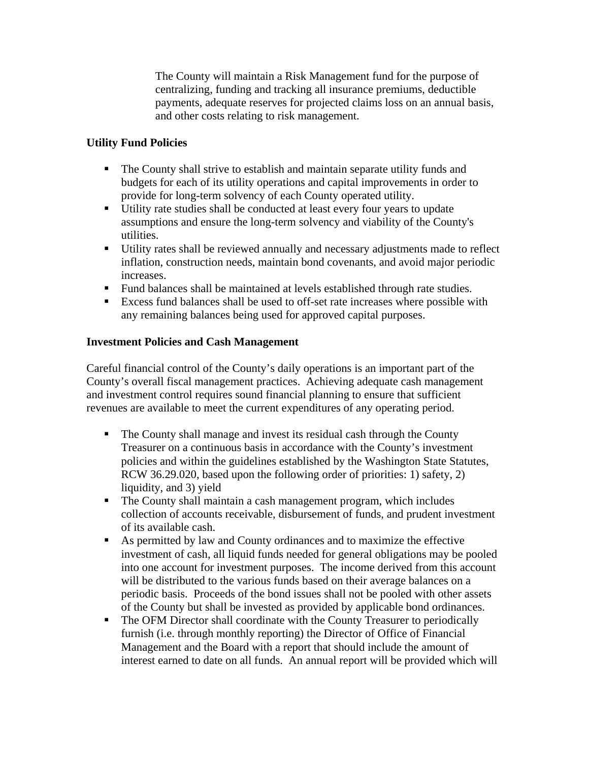The County will maintain a Risk Management fund for the purpose of centralizing, funding and tracking all insurance premiums, deductible payments, adequate reserves for projected claims loss on an annual basis, and other costs relating to risk management.

## **Utility Fund Policies**

- The County shall strive to establish and maintain separate utility funds and budgets for each of its utility operations and capital improvements in order to provide for long-term solvency of each County operated utility.
- Utility rate studies shall be conducted at least every four years to update assumptions and ensure the long-term solvency and viability of the County's utilities.
- Utility rates shall be reviewed annually and necessary adjustments made to reflect inflation, construction needs, maintain bond covenants, and avoid major periodic increases.
- Fund balances shall be maintained at levels established through rate studies.
- Excess fund balances shall be used to off-set rate increases where possible with any remaining balances being used for approved capital purposes.

# **Investment Policies and Cash Management**

Careful financial control of the County's daily operations is an important part of the County's overall fiscal management practices. Achieving adequate cash management and investment control requires sound financial planning to ensure that sufficient revenues are available to meet the current expenditures of any operating period.

- The County shall manage and invest its residual cash through the County Treasurer on a continuous basis in accordance with the County's investment policies and within the guidelines established by the Washington State Statutes, RCW 36.29.020, based upon the following order of priorities: 1) safety, 2) liquidity, and 3) yield
- The County shall maintain a cash management program, which includes collection of accounts receivable, disbursement of funds, and prudent investment of its available cash.
- As permitted by law and County ordinances and to maximize the effective investment of cash, all liquid funds needed for general obligations may be pooled into one account for investment purposes. The income derived from this account will be distributed to the various funds based on their average balances on a periodic basis. Proceeds of the bond issues shall not be pooled with other assets of the County but shall be invested as provided by applicable bond ordinances.
- The OFM Director shall coordinate with the County Treasurer to periodically furnish (i.e. through monthly reporting) the Director of Office of Financial Management and the Board with a report that should include the amount of interest earned to date on all funds. An annual report will be provided which will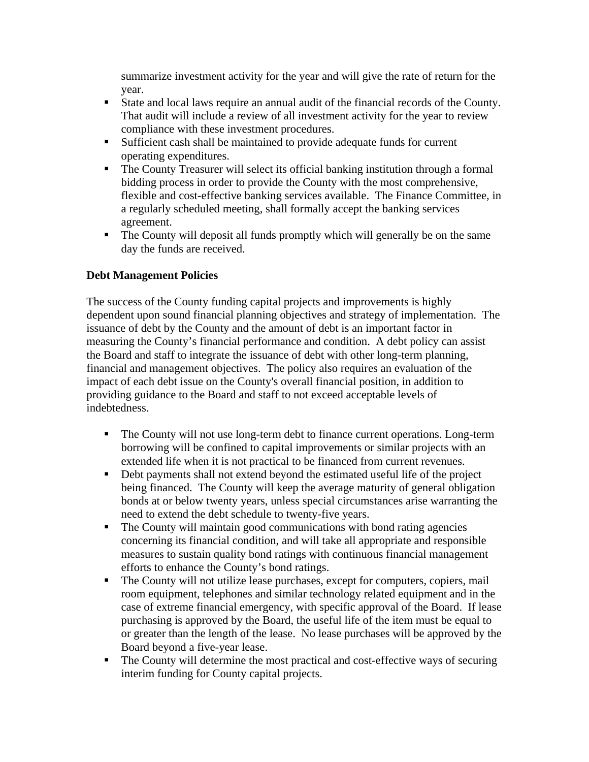summarize investment activity for the year and will give the rate of return for the year.

- State and local laws require an annual audit of the financial records of the County. That audit will include a review of all investment activity for the year to review compliance with these investment procedures.
- Sufficient cash shall be maintained to provide adequate funds for current operating expenditures.
- The County Treasurer will select its official banking institution through a formal bidding process in order to provide the County with the most comprehensive, flexible and cost-effective banking services available. The Finance Committee, in a regularly scheduled meeting, shall formally accept the banking services agreement.
- The County will deposit all funds promptly which will generally be on the same day the funds are received.

# **Debt Management Policies**

The success of the County funding capital projects and improvements is highly dependent upon sound financial planning objectives and strategy of implementation. The issuance of debt by the County and the amount of debt is an important factor in measuring the County's financial performance and condition. A debt policy can assist the Board and staff to integrate the issuance of debt with other long-term planning, financial and management objectives. The policy also requires an evaluation of the impact of each debt issue on the County's overall financial position, in addition to providing guidance to the Board and staff to not exceed acceptable levels of indebtedness.

- The County will not use long-term debt to finance current operations. Long-term borrowing will be confined to capital improvements or similar projects with an extended life when it is not practical to be financed from current revenues.
- Debt payments shall not extend beyond the estimated useful life of the project being financed. The County will keep the average maturity of general obligation bonds at or below twenty years, unless special circumstances arise warranting the need to extend the debt schedule to twenty-five years.
- The County will maintain good communications with bond rating agencies concerning its financial condition, and will take all appropriate and responsible measures to sustain quality bond ratings with continuous financial management efforts to enhance the County's bond ratings.
- The County will not utilize lease purchases, except for computers, copiers, mail room equipment, telephones and similar technology related equipment and in the case of extreme financial emergency, with specific approval of the Board. If lease purchasing is approved by the Board, the useful life of the item must be equal to or greater than the length of the lease. No lease purchases will be approved by the Board beyond a five-year lease.
- The County will determine the most practical and cost-effective ways of securing interim funding for County capital projects.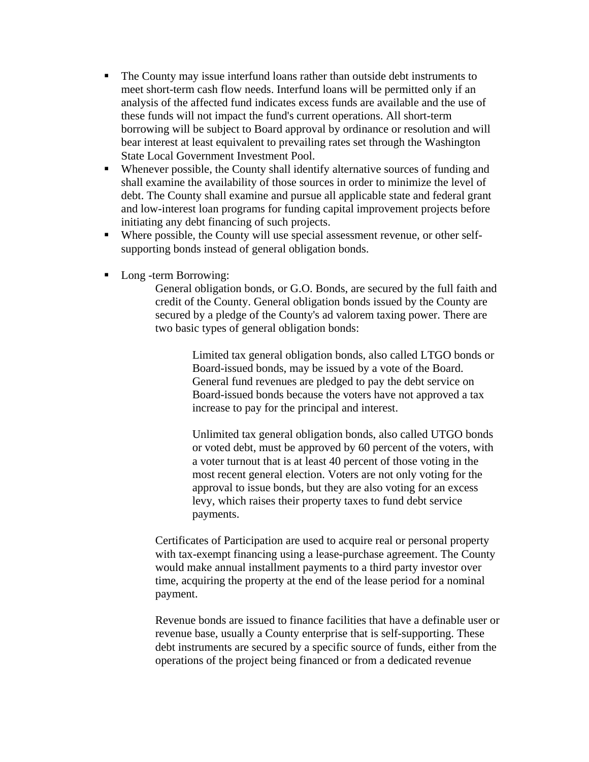- The County may issue interfund loans rather than outside debt instruments to meet short-term cash flow needs. Interfund loans will be permitted only if an analysis of the affected fund indicates excess funds are available and the use of these funds will not impact the fund's current operations. All short-term borrowing will be subject to Board approval by ordinance or resolution and will bear interest at least equivalent to prevailing rates set through the Washington State Local Government Investment Pool.
- Whenever possible, the County shall identify alternative sources of funding and shall examine the availability of those sources in order to minimize the level of debt. The County shall examine and pursue all applicable state and federal grant and low-interest loan programs for funding capital improvement projects before initiating any debt financing of such projects.
- Where possible, the County will use special assessment revenue, or other selfsupporting bonds instead of general obligation bonds.
- Long -term Borrowing:

General obligation bonds, or G.O. Bonds, are secured by the full faith and credit of the County. General obligation bonds issued by the County are secured by a pledge of the County's ad valorem taxing power. There are two basic types of general obligation bonds:

> Limited tax general obligation bonds, also called LTGO bonds or Board-issued bonds, may be issued by a vote of the Board. General fund revenues are pledged to pay the debt service on Board-issued bonds because the voters have not approved a tax increase to pay for the principal and interest.

> Unlimited tax general obligation bonds, also called UTGO bonds or voted debt, must be approved by 60 percent of the voters, with a voter turnout that is at least 40 percent of those voting in the most recent general election. Voters are not only voting for the approval to issue bonds, but they are also voting for an excess levy, which raises their property taxes to fund debt service payments.

Certificates of Participation are used to acquire real or personal property with tax-exempt financing using a lease-purchase agreement. The County would make annual installment payments to a third party investor over time, acquiring the property at the end of the lease period for a nominal payment.

Revenue bonds are issued to finance facilities that have a definable user or revenue base, usually a County enterprise that is self-supporting. These debt instruments are secured by a specific source of funds, either from the operations of the project being financed or from a dedicated revenue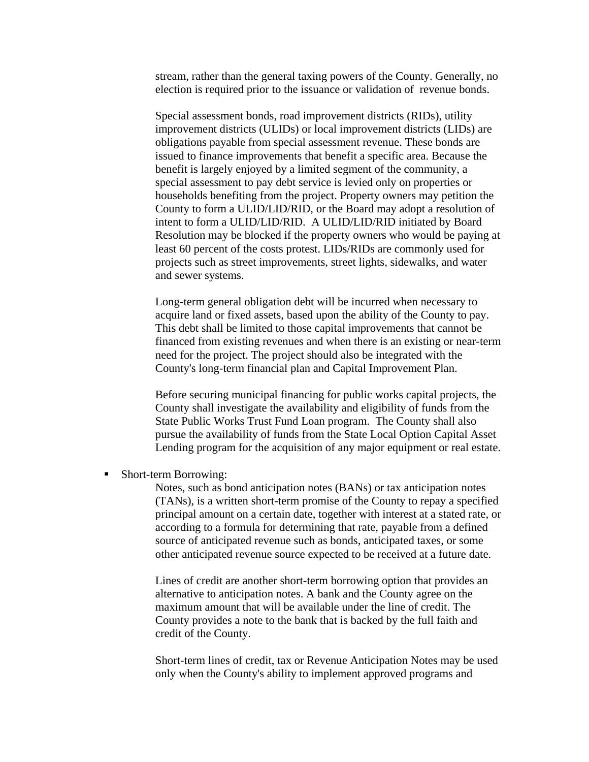stream, rather than the general taxing powers of the County. Generally, no election is required prior to the issuance or validation of revenue bonds.

Special assessment bonds, road improvement districts (RIDs), utility improvement districts (ULIDs) or local improvement districts (LIDs) are obligations payable from special assessment revenue. These bonds are issued to finance improvements that benefit a specific area. Because the benefit is largely enjoyed by a limited segment of the community, a special assessment to pay debt service is levied only on properties or households benefiting from the project. Property owners may petition the County to form a ULID/LID/RID, or the Board may adopt a resolution of intent to form a ULID/LID/RID. A ULID/LID/RID initiated by Board Resolution may be blocked if the property owners who would be paying at least 60 percent of the costs protest. LIDs/RIDs are commonly used for projects such as street improvements, street lights, sidewalks, and water and sewer systems.

Long-term general obligation debt will be incurred when necessary to acquire land or fixed assets, based upon the ability of the County to pay. This debt shall be limited to those capital improvements that cannot be financed from existing revenues and when there is an existing or near-term need for the project. The project should also be integrated with the County's long-term financial plan and Capital Improvement Plan.

Before securing municipal financing for public works capital projects, the County shall investigate the availability and eligibility of funds from the State Public Works Trust Fund Loan program. The County shall also pursue the availability of funds from the State Local Option Capital Asset Lending program for the acquisition of any major equipment or real estate.

• Short-term Borrowing:

Notes, such as bond anticipation notes (BANs) or tax anticipation notes (TANs), is a written short-term promise of the County to repay a specified principal amount on a certain date, together with interest at a stated rate, or according to a formula for determining that rate, payable from a defined source of anticipated revenue such as bonds, anticipated taxes, or some other anticipated revenue source expected to be received at a future date.

Lines of credit are another short-term borrowing option that provides an alternative to anticipation notes. A bank and the County agree on the maximum amount that will be available under the line of credit. The County provides a note to the bank that is backed by the full faith and credit of the County.

Short-term lines of credit, tax or Revenue Anticipation Notes may be used only when the County's ability to implement approved programs and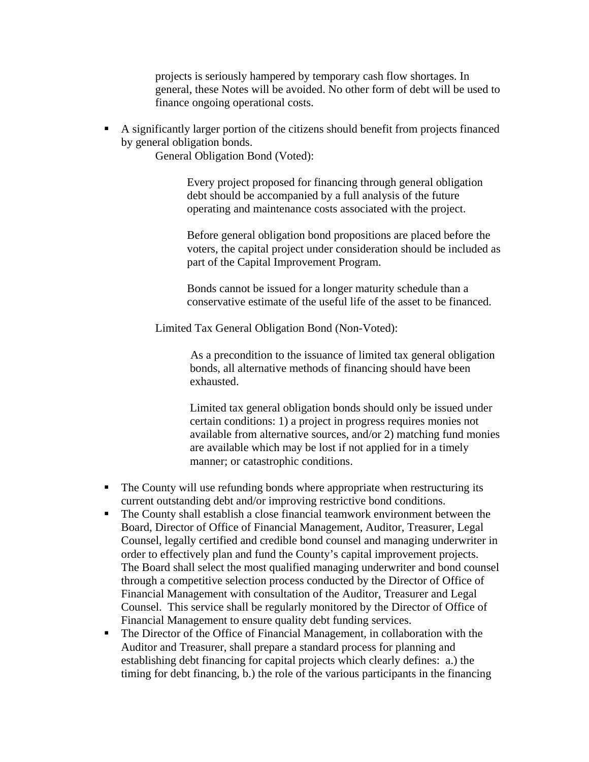projects is seriously hampered by temporary cash flow shortages. In general, these Notes will be avoided. No other form of debt will be used to finance ongoing operational costs.

 A significantly larger portion of the citizens should benefit from projects financed by general obligation bonds.

General Obligation Bond (Voted):

Every project proposed for financing through general obligation debt should be accompanied by a full analysis of the future operating and maintenance costs associated with the project.

Before general obligation bond propositions are placed before the voters, the capital project under consideration should be included as part of the Capital Improvement Program.

Bonds cannot be issued for a longer maturity schedule than a conservative estimate of the useful life of the asset to be financed.

Limited Tax General Obligation Bond (Non-Voted):

As a precondition to the issuance of limited tax general obligation bonds, all alternative methods of financing should have been exhausted.

Limited tax general obligation bonds should only be issued under certain conditions: 1) a project in progress requires monies not available from alternative sources, and/or 2) matching fund monies are available which may be lost if not applied for in a timely manner; or catastrophic conditions.

- The County will use refunding bonds where appropriate when restructuring its current outstanding debt and/or improving restrictive bond conditions.
- The County shall establish a close financial teamwork environment between the Board, Director of Office of Financial Management, Auditor, Treasurer, Legal Counsel, legally certified and credible bond counsel and managing underwriter in order to effectively plan and fund the County's capital improvement projects. The Board shall select the most qualified managing underwriter and bond counsel through a competitive selection process conducted by the Director of Office of Financial Management with consultation of the Auditor, Treasurer and Legal Counsel. This service shall be regularly monitored by the Director of Office of Financial Management to ensure quality debt funding services.
- The Director of the Office of Financial Management, in collaboration with the Auditor and Treasurer, shall prepare a standard process for planning and establishing debt financing for capital projects which clearly defines: a.) the timing for debt financing, b.) the role of the various participants in the financing